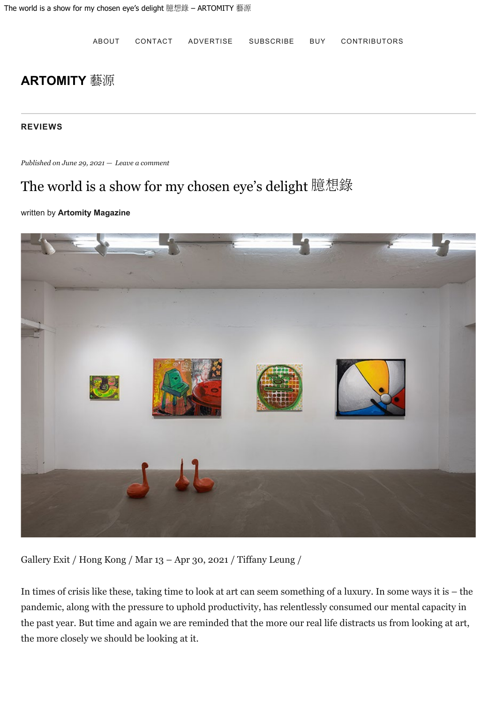[ABOUT](https://artomity.art/about/) [CONTACT](https://artomity.art/contact/) [ADVERTISE](https://artomity.art/advertise/) [SUBSCRIBE](https://artomity.art/subscribe/) [BUY](https://artomity.art/buy/) [CONTRIBUTORS](https://artomity.art/contributors/)

## **[ARTOMITY](https://artomity.art/)** [藝源](https://artomity.art/)

### **[REVIEWS](https://artomity.art/category/reviews/)**

*Published on [June 29, 2021](https://artomity.art/2021/06/29/the-world-is-a-show-for-my-chosen-eyes-delight-%e8%87%86%e6%83%b3%e9%8c%84/) — [Leave a comment](https://artomity.art/2021/06/29/the-world-is-a-show-for-my-chosen-eyes-delight-%e8%87%86%e6%83%b3%e9%8c%84/#respond)*

# The world is a show for my chosen eye's delight 臆想錄

#### written by **[Artomity Magazine](https://artomity.art/author/artomity/)**



Gallery Exit / Hong Kong / Mar 13 – Apr 30, 2021 / Tiffany Leung /

In times of crisis like these, taking time to look at art can seem something of a luxury. In some ways it is – the pandemic, along with the pressure to uphold productivity, has relentlessly consumed our mental capacity in the past year. But time and again we are reminded that the more our real life distracts us from looking at art, the more closely we should be looking at it.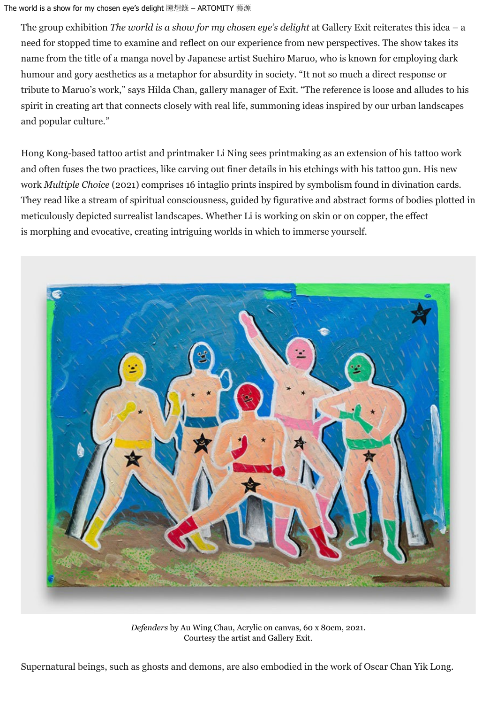### The world is a show for my chosen eye's delight 臆想錄 – ARTOMITY 藝源

The group exhibition *The world is a show for my chosen eye's delight* at Gallery Exit reiterates this idea – a need for stopped time to examine and reflect on our experience from new perspectives. The show takes its name from the title of a manga novel by Japanese artist Suehiro Maruo, who is known for employing dark humour and gory aesthetics as a metaphor for absurdity in society. "It not so much a direct response or tribute to Maruo's work," says Hilda Chan, gallery manager of Exit. "The reference is loose and alludes to his spirit in creating art that connects closely with real life, summoning ideas inspired by our urban landscapes and popular culture."

Hong Kong-based tattoo artist and printmaker Li Ning sees printmaking as an extension of his tattoo work and often fuses the two practices, like carving out finer details in his etchings with his tattoo gun. His new work *Multiple Choice* (2021) comprises 16 intaglio prints inspired by symbolism found in divination cards. They read like a stream of spiritual consciousness, guided by figurative and abstract forms of bodies plotted in meticulously depicted surrealist landscapes. Whether Li is working on skin or on copper, the effect is morphing and evocative, creating intriguing worlds in which to immerse yourself.



*Defenders* by Au Wing Chau, Acrylic on canvas, 60 x 80cm, 2021. Courtesy the artist and Gallery Exit.

Supernatural beings, such as ghosts and demons, are also embodied in the work of Oscar Chan Yik Long.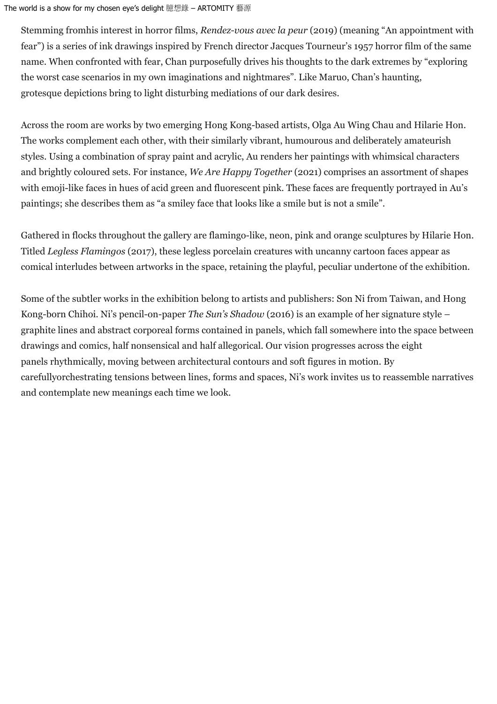The world is a show for my chosen eye's delight 臆想錄 – ARTOMITY 藝源

Stemming fromhis interest in horror films, *Rendez-vous avec la peur* (2019) (meaning "An appointment with fear") is a series of ink drawings inspired by French director Jacques Tourneur's 1957 horror film of the same name. When confronted with fear, Chan purposefully drives his thoughts to the dark extremes by "exploring the worst case scenarios in my own imaginations and nightmares". Like Maruo, Chan's haunting, grotesque depictions bring to light disturbing mediations of our dark desires.

Across the room are works by two emerging Hong Kong-based artists, Olga Au Wing Chau and Hilarie Hon. The works complement each other, with their similarly vibrant, humourous and deliberately amateurish styles. Using a combination of spray paint and acrylic, Au renders her paintings with whimsical characters and brightly coloured sets. For instance, *We Are Happy Together* (2021) comprises an assortment of shapes with emoji-like faces in hues of acid green and fluorescent pink. These faces are frequently portrayed in Au's paintings; she describes them as "a smiley face that looks like a smile but is not a smile".

Gathered in flocks throughout the gallery are flamingo-like, neon, pink and orange sculptures by Hilarie Hon. Titled *Legless Flamingos* (2017), these legless porcelain creatures with uncanny cartoon faces appear as comical interludes between artworks in the space, retaining the playful, peculiar undertone of the exhibition.

Some of the subtler works in the exhibition belong to artists and publishers: Son Ni from Taiwan, and Hong Kong-born Chihoi. Ni's pencil-on-paper *The Sun's Shadow* (2016) is an example of her signature style – graphite lines and abstract corporeal forms contained in panels, which fall somewhere into the space between drawings and comics, half nonsensical and half allegorical. Our vision progresses across the eight panels rhythmically, moving between architectural contours and soft figures in motion. By carefullyorchestrating tensions between lines, forms and spaces, Ni's work invites us to reassemble narratives and contemplate new meanings each time we look.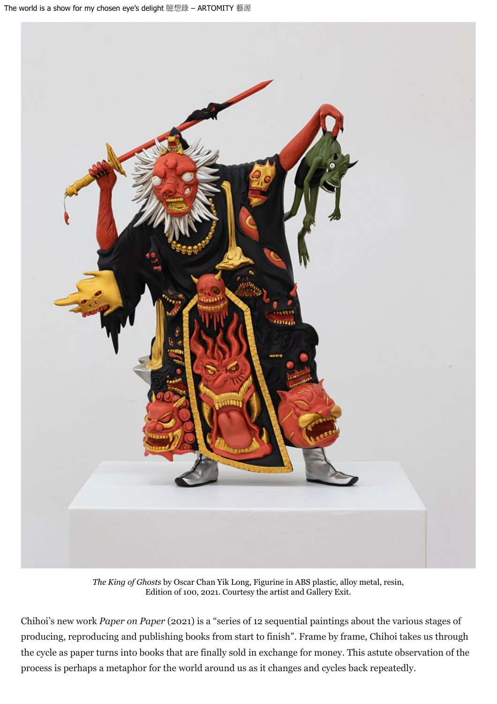

*The King of Ghosts* by Oscar Chan Yik Long, Figurine in ABS plastic, alloy metal, resin, Edition of 100, 2021. Courtesy the artist and Gallery Exit.

Chihoi's new work *Paper on Paper* (2021) is a "series of 12 sequential paintings about the various stages of producing, reproducing and publishing books from start to finish". Frame by frame, Chihoi takes us through the cycle as paper turns into books that are finally sold in exchange for money. This astute observation of the process is perhaps a metaphor for the world around us as it changes and cycles back repeatedly.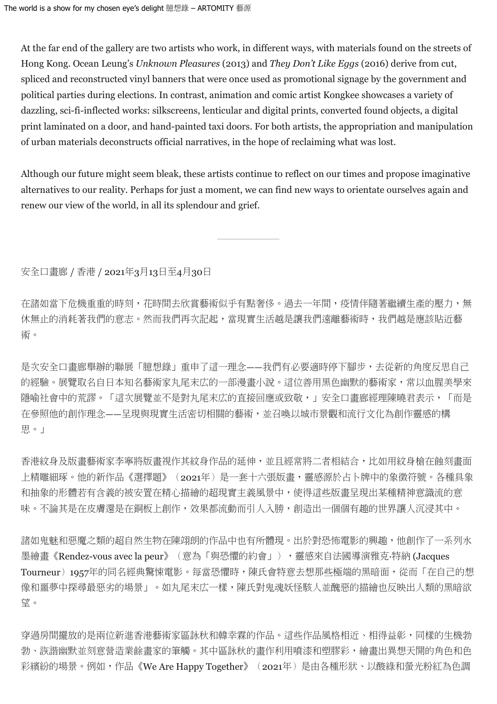At the far end of the gallery are two artists who work, in different ways, with materials found on the streets of Hong Kong. Ocean Leung's *Unknown Pleasures* (2013) and *They Don't Like Eggs* (2016) derive from cut, spliced and reconstructed vinyl banners that were once used as promotional signage by the government and political parties during elections. In contrast, animation and comic artist Kongkee showcases a variety of dazzling, sci-fi-inflected works: silkscreens, lenticular and digital prints, converted found objects, a digital print laminated on a door, and hand-painted taxi doors. For both artists, the appropriation and manipulation of urban materials deconstructs official narratives, in the hope of reclaiming what was lost.

Although our future might seem bleak, these artists continue to reflect on our times and propose imaginative alternatives to our reality. Perhaps for just a moment, we can find new ways to orientate ourselves again and renew our view of the world, in all its splendour and grief.

安全口畫廊 / 香港 / 2021年3月13日至4月30日

在諸如當下危機重重的時刻,花時間去欣賞藝術似乎有點奢侈。過去一年間,疫情伴隨著繼續生產的壓力,無 休無止的消耗著我們的意志。然而我們再次記起,當現實生活越是讓我們遠離藝術時,我們越是應該貼近藝 術。

是次安全口書廊舉辦的聯展「臆想錄」重申了這一理念——我們有必要適時停下腳步,去從新的角度反思自己 的經驗。展覽取名自日本知名藝術家丸尾末広的一部漫畫小說。這位善用黑色幽默的藝術家,常以血腥美學來 隱喻社會中的荒謬。「這次展覽並不是對丸尾末広的直接回應或致敬,」安全口書廊經理陳曉君表示,「而是 在參照他的創作理念——呈現與現實生活密切相關的藝術,並召喚以城市景觀和流行文化為創作靈感的構 思。」

香港紋身及版畫藝術家李寧將版畫視作其紋身作品的延伸,並且經常將二者相結合,比如用紋身槍在蝕刻畫面 上精雕細琢。他的新作品《選擇題》(2021年)是一套十六張版書,靈感源於占卜牌中的象徵符號。各種具象 和抽象的形體若有含義的被安置在精心描繪的超現實主義風景中,使得這些版畫呈現出某種精神意識流的意 味。不論其是在皮膚還是在銅板上創作,效果都流動而引人入勝,創造出一個個有趣的世界讓人沉浸其中。

諸如鬼魅和惡魔之類的超自然生物在陳翊朗的作品中也有所體現。出於對恐怖電影的興趣,他創作了一系列水 墨繪畫《Rendez-vous avec la peur》(意為「與恐懼的約會」),靈感來自法國導演雅克·特納 (Jacques Tourneur) 1957年的同名經典驚悚雷影。每當恐懼時,陳氏會特意去想那些極端的黑暗面,從而「在自己的想 像和噩夢中探尋最惡劣的場景」。如丸尾末広一樣,陳氏對鬼魂妖怪駭人並醜惡的描繪也反映出人類的黑暗欲 望。

穿過房間擺放的是兩位新進香港藝術家區詠秋和韓幸霖的作品。這些作品風格相近、相得益彰,同樣的生機勃 勃、詼諧幽默並刻意營造業餘畫家的筆觸。其中區詠秋的畫作利用噴漆和塑膠彩,繪畫出異想天開的角色和色 彩繽紛的場景。例如,作品《We Are Happy Together》(2021年)是由各種形狀、以酸綠和螢光粉紅為色調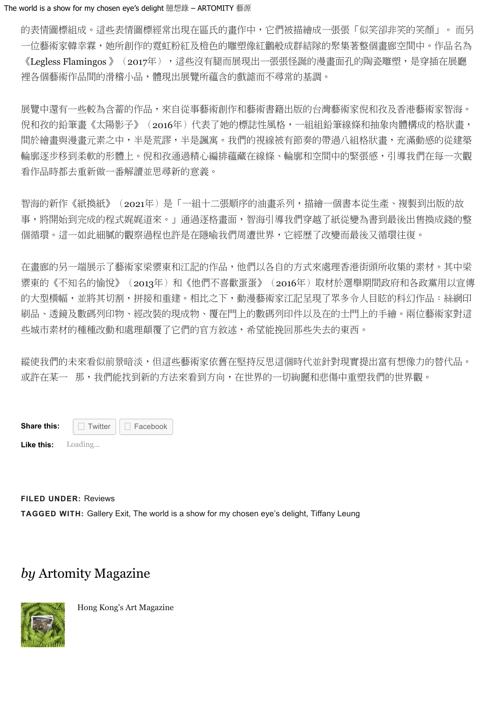的表情圖標組成。這些表情圖標經常出現在區氏的畫作中,它們被描繪成一張張「似笑卻非笑的笑顏」。 而另 一位藝術家韓幸霖,她所創作的霓虹粉紅及橙色的雕塑像紅鸛般成群結隊的聚集著整個畫廊空間中。作品名為 《Legless Flamingos 》(2017年),這些沒有腿而展現出一張張怪誕的漫畫面孔的陶瓷雕塑,是穿插在展廳 裡各個藝術作品間的滑稽小品,體現出展覽所蘊含的戲謔而不尋常的基調。

展覽中還有一些較為含蓄的作品,來自從事藝術創作和藝術書籍出版的台灣藝術家倪和孜及香港藝術家智海。 倪和孜的鉛筆畫《太陽影子》(2016年)代表了她的標誌性風格,一組組鉛筆線條和抽象肉體構成的格狀畫, 間於繪畫與漫畫元素之中,半是荒謬,半是諷寓。我們的視線被有節奏的帶過八組格狀畫,充滿動感的從建築 輪廓逐步移到柔軟的形體上。倪和孜通過精心編排蘊藏在線條、輪廓和空間中的緊張感,引導我們在每一次觀 看作品時都去重新做一番解讀並思尋新的意義。

智海的新作《紙換紙》(2021年)是「一組十二張順序的油書系列,描繪一個書本從生產、複製到出版的故 事,將開始到完成的程式娓娓道來。」通過逐格畫面,智海引導我們穿越了紙從變為書到最後出售換成錢的整 個循環。這一如此細膩的觀察過程也許是在隱喻我們周遭世界,它經歷了改變而最後又循環往復。

在畫廊的另一端展示了藝術家梁禦東和江記的作品,他們以各自的方式來處理香港街頭所收集的素材。其中梁 禦東的《不知名的愉悅》(2013年)和《他們不喜歡蛋蛋》(2016年)取材於選舉期間政府和各政黨用以宣傳 的大型橫幅,並將其切割,拼接和重建。相比之下,動漫藝術家江記呈現了眾多令人目眩的科幻作品:絲網印 刷品、透鏡及數碼列印物、經改裝的現成物、覆在門上的數碼列印件以及在的士門上的手繪。兩位藝術家對這 些城市素材的種種改動和處理顛覆了它們的官方敘述,希望能挽回那些失去的東西。

縱使我們的未來看似前景暗淡,但這些藝術家依舊在堅持反思這個時代並針對現實提出富有想像力的替代品。 或許在某一 那,我們能找到新的方法來看到方向,在世界的一切絢麗和悲傷中重塑我們的世界觀。

**Share this:**  $\Box$  [Twitter](https://artomity.art/2021/06/29/the-world-is-a-show-for-my-chosen-eyes-delight-%e8%87%86%e6%83%b3%e9%8c%84/?share=twitter&nb=1)  $\Box$  [Facebook](https://artomity.art/2021/06/29/the-world-is-a-show-for-my-chosen-eyes-delight-%e8%87%86%e6%83%b3%e9%8c%84/?share=facebook&nb=1) □ Twitter

**Like this:** Loading...

**FILED UNDER:** [Reviews](https://artomity.art/category/reviews/) **TAGGED WITH:** [Gallery Exit](https://artomity.art/tag/gallery-exit/), [The world is a show for my chosen eye's delight](https://artomity.art/tag/the-world-is-a-show-for-my-chosen-eyes-delight/), [Tiffany Leung](https://artomity.art/tag/tiffany-leung/)

# *by* [Artomity Magazine](https://artomity.art/author/artomity/)



Hong Kong's Art Magazine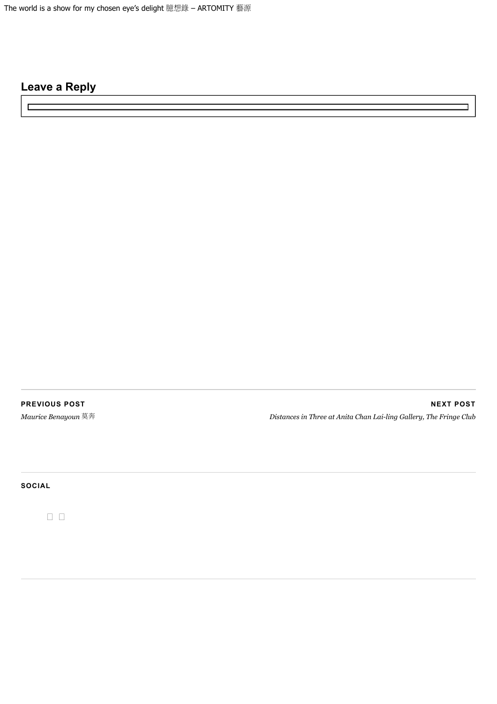### **Leave a Reply**

 $\overline{a}$ 

**[PREVIOUS POST](https://artomity.art/2021/06/28/maurice-benayoun-%e8%8e%ab%e5%a5%94/)**

*[Maurice Benayoun](https://artomity.art/2021/06/28/maurice-benayoun-%e8%8e%ab%e5%a5%94/)* [莫奔](https://artomity.art/2021/06/28/maurice-benayoun-%e8%8e%ab%e5%a5%94/)

**[NEXT POST](https://artomity.art/2021/07/27/distances-in-three-%e8%b7%9d%e9%9b%a2%c2%b7%e6%9c%89%e4%bb%a8-at-anita-chan-lai-ling-gallery-the-fringe-club/)** *[Distances in Three at Anita Chan Lai-ling Gallery, The Fringe Club](https://artomity.art/2021/07/27/distances-in-three-%e8%b7%9d%e9%9b%a2%c2%b7%e6%9c%89%e4%bb%a8-at-anita-chan-lai-ling-gallery-the-fringe-club/)*

**SOCIAL**

 $\begin{array}{ccc} \square & \square \end{array}$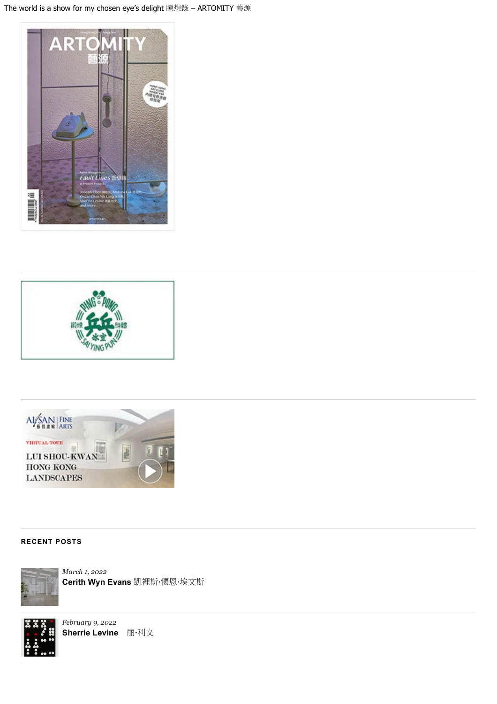





#### **RECENT POSTS**



*[March 1, 2022](https://artomity.art/2022/03/01/cerith-wyn-evans-%e5%87%b1%e8%a3%a1%e6%96%af%c2%b7%e6%87%b7%e6%81%a9%c2%b7%e5%9f%83%e6%96%87%e6%96%af/)* **[Cerith Wyn Evans](https://artomity.art/2022/03/01/cerith-wyn-evans-%e5%87%b1%e8%a3%a1%e6%96%af%c2%b7%e6%87%b7%e6%81%a9%c2%b7%e5%9f%83%e6%96%87%e6%96%af/)** [凱裡斯](https://artomity.art/2022/03/01/cerith-wyn-evans-%e5%87%b1%e8%a3%a1%e6%96%af%c2%b7%e6%87%b7%e6%81%a9%c2%b7%e5%9f%83%e6%96%87%e6%96%af/)**[·](https://artomity.art/2022/03/01/cerith-wyn-evans-%e5%87%b1%e8%a3%a1%e6%96%af%c2%b7%e6%87%b7%e6%81%a9%c2%b7%e5%9f%83%e6%96%87%e6%96%af/)**[懷恩](https://artomity.art/2022/03/01/cerith-wyn-evans-%e5%87%b1%e8%a3%a1%e6%96%af%c2%b7%e6%87%b7%e6%81%a9%c2%b7%e5%9f%83%e6%96%87%e6%96%af/)**[·](https://artomity.art/2022/03/01/cerith-wyn-evans-%e5%87%b1%e8%a3%a1%e6%96%af%c2%b7%e6%87%b7%e6%81%a9%c2%b7%e5%9f%83%e6%96%87%e6%96%af/)**[埃文斯](https://artomity.art/2022/03/01/cerith-wyn-evans-%e5%87%b1%e8%a3%a1%e6%96%af%c2%b7%e6%87%b7%e6%81%a9%c2%b7%e5%9f%83%e6%96%87%e6%96%af/)



*[February 9, 2022](https://artomity.art/2022/02/09/sherrie-levine-%e8%b0%a2%e4%b8%bd%c2%b7%e5%88%a9%e6%96%87/)* **[Sherrie Levine](https://artomity.art/2022/02/09/sherrie-levine-%e8%b0%a2%e4%b8%bd%c2%b7%e5%88%a9%e6%96%87/)** [丽](https://artomity.art/2022/02/09/sherrie-levine-%e8%b0%a2%e4%b8%bd%c2%b7%e5%88%a9%e6%96%87/)**[·](https://artomity.art/2022/02/09/sherrie-levine-%e8%b0%a2%e4%b8%bd%c2%b7%e5%88%a9%e6%96%87/)**[利文](https://artomity.art/2022/02/09/sherrie-levine-%e8%b0%a2%e4%b8%bd%c2%b7%e5%88%a9%e6%96%87/)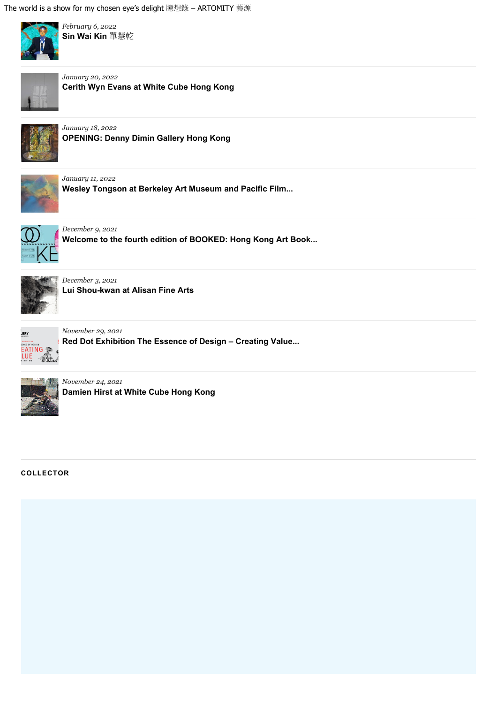

*[February 6, 2022](https://artomity.art/2022/02/06/sin-wai-kin-%e5%96%ae%e6%85%a7%e4%b9%be/)* **[Sin Wai Kin](https://artomity.art/2022/02/06/sin-wai-kin-%e5%96%ae%e6%85%a7%e4%b9%be/)** [單慧乾](https://artomity.art/2022/02/06/sin-wai-kin-%e5%96%ae%e6%85%a7%e4%b9%be/)



*[January 20, 2022](https://artomity.art/2022/01/20/cerith-wyn-evans-at-white-cube-hong-kong/)* **[Cerith Wyn Evans at White Cube Hong Kong](https://artomity.art/2022/01/20/cerith-wyn-evans-at-white-cube-hong-kong/)**



*[January 18, 2022](https://artomity.art/2022/01/18/opening-denny-dimin-gallery-hong-kong/)* **[OPENING: Denny Dimin Gallery Hong Kong](https://artomity.art/2022/01/18/opening-denny-dimin-gallery-hong-kong/)**



*[January 11, 2022](https://artomity.art/2022/01/11/wesley-tongson-at-berkeley-art-museum-and-pacific-film-archive/)*

**Wesley Tongson at [Berkeley Art Museum and Pacific Film...](https://artomity.art/2022/01/11/wesley-tongson-at-berkeley-art-museum-and-pacific-film-archive/)**



*[December 9, 2021](https://artomity.art/2021/12/09/welcome-to-the-fourth-edition-of-booked-hong-kong-art-book-fair/)* **[Welcome to the fourth edition of BOOKED: Hong Kong Art Book...](https://artomity.art/2021/12/09/welcome-to-the-fourth-edition-of-booked-hong-kong-art-book-fair/)**



*[December 3, 2021](https://artomity.art/2021/12/03/lui-shou-kwan-at-alisan-fine-arts/)* **[Lui Shou-kwan at](https://artomity.art/2021/12/03/lui-shou-kwan-at-alisan-fine-arts/) Alisan Fine Arts**



*[November 29, 2021](https://artomity.art/2021/11/29/red-dot-exhibition-the-essence-of-design-creating-value-at-hkdi-gallery/)*

**Red Dot Exhibition [The Essence of Design – Creating Value...](https://artomity.art/2021/11/29/red-dot-exhibition-the-essence-of-design-creating-value-at-hkdi-gallery/)**



*[November 24, 2021](https://artomity.art/2021/11/24/damien-hirst-at-white-cube-hong-kong/)* **[Damien Hirst at White Cube Hong Kong](https://artomity.art/2021/11/24/damien-hirst-at-white-cube-hong-kong/)**

**COLLECTOR**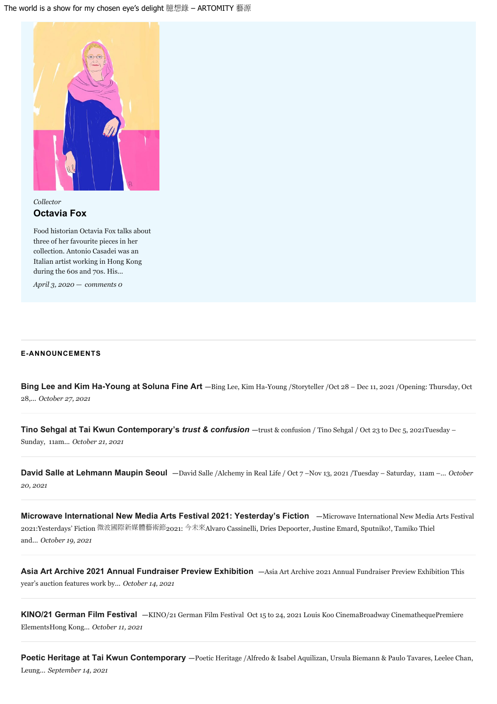

*[Collector](https://artomity.art/category/collector/)* **[Octavia Fox](https://artomity.art/2020/04/03/octavia-fox/)**

Food historian Octavia Fox talks about three of her favourite pieces in her collection. Antonio Casadei was an Italian artist working in Hong Kong during the 60s and 70s. His...

*[April 3, 2020](https://artomity.art/2020/04/03/octavia-fox/) — [comments 0](https://artomity.art/2020/04/03/octavia-fox/#respond)*

#### **E-ANNOUNCEMENTS**

**[Bing Lee and Kim Ha-Young at Soluna Fine Art](https://artomity.art/2021/10/27/bing-lee-and-kim-ha-young-at-soluna-fine-art/) —**[Bing Lee, Kim Ha-Young /Storyteller /Oct 28 – Dec 11,](https://artomity.art/2021/10/27/bing-lee-and-kim-ha-young-at-soluna-fine-art/) 2021 /Opening: Thursday, Oct [28,...](https://artomity.art/2021/10/27/bing-lee-and-kim-ha-young-at-soluna-fine-art/) *October 27, 2021*

**[Tino Sehgal at Tai Kwun Contemporary's](https://artomity.art/2021/10/21/tino-sehgal-at-tai-kwun-contemporarys-trust-confusion/)** *[trust & confusion](https://artomity.art/2021/10/21/tino-sehgal-at-tai-kwun-contemporarys-trust-confusion/)* **—**[trust & confusion / Tino Sehgal / Oct 23 to Dec 5,](https://artomity.art/2021/10/21/tino-sehgal-at-tai-kwun-contemporarys-trust-confusion/) 2021Tuesday – [Sunday, 11am...](https://artomity.art/2021/10/21/tino-sehgal-at-tai-kwun-contemporarys-trust-confusion/) *October 21, 2021*

**[David Salle at Lehmann Maupin](https://artomity.art/2021/10/20/david-salle-at-lehmann-maupin-seoul/) Seoul —**David Salle /Alchemy in Real Life / Oct 7 –Nov 13, [2021 /Tuesday – Saturday, 11am –...](https://artomity.art/2021/10/20/david-salle-at-lehmann-maupin-seoul/) *October 20, 2021*

**[Microwave International New Media Arts Festival 2021:](https://artomity.art/2021/10/19/microwave-international-new-media-arts-festival-2021-yesterdays-fiction/) Yesterday's Fiction —**[Microwave International New Media Arts Festival](https://artomity.art/2021/10/19/microwave-international-new-media-arts-festival-2021-yesterdays-fiction/) [2021:Yesterdays' Fiction](https://artomity.art/2021/10/19/microwave-international-new-media-arts-festival-2021-yesterdays-fiction/) [微波國際新媒體藝術節](https://artomity.art/2021/10/19/microwave-international-new-media-arts-festival-2021-yesterdays-fiction/)[2021:](https://artomity.art/2021/10/19/microwave-international-new-media-arts-festival-2021-yesterdays-fiction/) [今未來](https://artomity.art/2021/10/19/microwave-international-new-media-arts-festival-2021-yesterdays-fiction/)[Alvaro Cassinelli,](https://artomity.art/2021/10/19/microwave-international-new-media-arts-festival-2021-yesterdays-fiction/) Dries Depoorter, Justine Emard, Sputniko!, Tamiko Thiel [and...](https://artomity.art/2021/10/19/microwave-international-new-media-arts-festival-2021-yesterdays-fiction/) *October 19, 2021*

**[Asia Art Archive 2021 Annual Fundraiser Preview Exhibition](https://artomity.art/2021/10/14/asia-art-archive2021-annual-fundraiser-preview-exhibition/) —**[Asia Art Archive 2021 Annual Fundraiser Preview Exhibition This](https://artomity.art/2021/10/14/asia-art-archive2021-annual-fundraiser-preview-exhibition/) [year's auction features work by...](https://artomity.art/2021/10/14/asia-art-archive2021-annual-fundraiser-preview-exhibition/) *October 14, 2021*

**[KINO/21 German Film Festival](https://artomity.art/2021/10/11/kino-21-german-film-festival/) —**KINO/21 German Film Festival Oct 15 to 24, [2021 Louis Koo CinemaBroadway CinemathequePremiere](https://artomity.art/2021/10/11/kino-21-german-film-festival/) [ElementsHong Kong...](https://artomity.art/2021/10/11/kino-21-german-film-festival/) *October 11, 2021*

**Poetic Heritage at [Tai Kwun Contemporary](https://artomity.art/2021/09/14/poetic-heritage-at-tai-kwun-contemporary/) —**[Poetic Heritage /Alfredo & Isabel Aquilizan, Ursula Biemann & Paulo Tavares, Leelee Chan,](https://artomity.art/2021/09/14/poetic-heritage-at-tai-kwun-contemporary/) [Leung...](https://artomity.art/2021/09/14/poetic-heritage-at-tai-kwun-contemporary/) *September 14, 2021*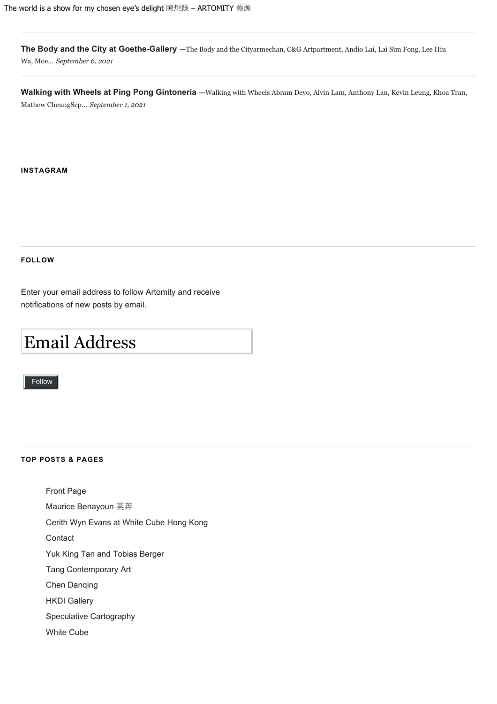**[The Body and the City at Goethe-Gallery](https://artomity.art/2021/09/06/the-body-and-the-city-at-goethe-gallery/) —**[The Body and the Cityarmechan, C&G Artpartment,](https://artomity.art/2021/09/06/the-body-and-the-city-at-goethe-gallery/) Andio Lai, Lai Sim Fong, Lee Hiu Wa, [Moe...](https://artomity.art/2021/09/06/the-body-and-the-city-at-goethe-gallery/) *September 6, 2021*

[Walking with Wheels at Ping Pong Gintonería](https://artomity.art/2021/09/01/walking-with-wheels-at-ping-pong-gintoneria/) -Walking with Wheels [Abram Deyo, Alvin Lam, Anthony Lau, Kevin Leung, Khoa Tran,](https://artomity.art/2021/09/01/walking-with-wheels-at-ping-pong-gintoneria/) [Mathew CheungSep...](https://artomity.art/2021/09/01/walking-with-wheels-at-ping-pong-gintoneria/) *September 1, 2021*

#### **INSTAGRAM**

#### **FOLLOW**

Enter your email address to follow Artomity and receive notifications of new posts by email.

# Email Address

Follow Follow

#### **TOP POSTS & PAGES**

[Front Page](https://artomity.art/) [Maurice Benayoun](https://artomity.art/2021/06/28/maurice-benayoun-%e8%8e%ab%e5%a5%94/) [莫奔](https://artomity.art/2021/06/28/maurice-benayoun-%e8%8e%ab%e5%a5%94/) [Cerith Wyn Evans at White Cube Hong Kong](https://artomity.art/2022/01/20/cerith-wyn-evans-at-white-cube-hong-kong/) **[Contact](https://artomity.art/contact/)** 

[Yuk King Tan and](https://artomity.art/2018/11/27/yuk-king-tan-and-tobias-berger/) Tobias Berger

[Tang Contemporary Art](https://artomity.art/galleries-spaces/tang-contemporary-art/)

[Chen Danqing](https://artomity.art/2019/06/21/chen-danqing/)

[HKDI Gallery](https://artomity.art/hkdi-gallery/)

[Speculative Cartography](https://artomity.art/2017/06/28/speculative-cartography/)

[White Cube](https://artomity.art/galleries-spaces/white-cube/)